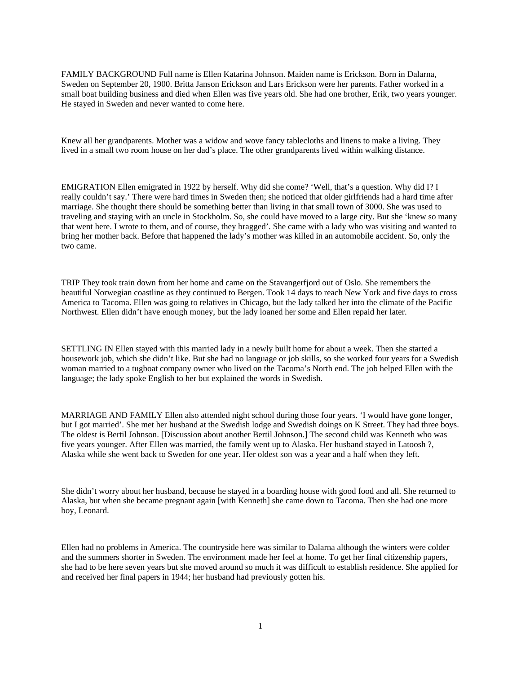FAMILY BACKGROUND Full name is Ellen Katarina Johnson. Maiden name is Erickson. Born in Dalarna, Sweden on September 20, 1900. Britta Janson Erickson and Lars Erickson were her parents. Father worked in a small boat building business and died when Ellen was five years old. She had one brother, Erik, two years younger. He stayed in Sweden and never wanted to come here.

Knew all her grandparents. Mother was a widow and wove fancy tablecloths and linens to make a living. They lived in a small two room house on her dad's place. The other grandparents lived within walking distance.

EMIGRATION Ellen emigrated in 1922 by herself. Why did she come? 'Well, that's a question. Why did I? I really couldn't say.' There were hard times in Sweden then; she noticed that older girlfriends had a hard time after marriage. She thought there should be something better than living in that small town of 3000. She was used to traveling and staying with an uncle in Stockholm. So, she could have moved to a large city. But she 'knew so many that went here. I wrote to them, and of course, they bragged'. She came with a lady who was visiting and wanted to bring her mother back. Before that happened the lady's mother was killed in an automobile accident. So, only the two came.

TRIP They took train down from her home and came on the Stavangerfjord out of Oslo. She remembers the beautiful Norwegian coastline as they continued to Bergen. Took 14 days to reach New York and five days to cross America to Tacoma. Ellen was going to relatives in Chicago, but the lady talked her into the climate of the Pacific Northwest. Ellen didn't have enough money, but the lady loaned her some and Ellen repaid her later.

SETTLING IN Ellen stayed with this married lady in a newly built home for about a week. Then she started a housework job, which she didn't like. But she had no language or job skills, so she worked four years for a Swedish woman married to a tugboat company owner who lived on the Tacoma's North end. The job helped Ellen with the language; the lady spoke English to her but explained the words in Swedish.

MARRIAGE AND FAMILY Ellen also attended night school during those four years. 'I would have gone longer, but I got married'. She met her husband at the Swedish lodge and Swedish doings on K Street. They had three boys. The oldest is Bertil Johnson. [Discussion about another Bertil Johnson.] The second child was Kenneth who was five years younger. After Ellen was married, the family went up to Alaska. Her husband stayed in Latoosh ?, Alaska while she went back to Sweden for one year. Her oldest son was a year and a half when they left.

She didn't worry about her husband, because he stayed in a boarding house with good food and all. She returned to Alaska, but when she became pregnant again [with Kenneth] she came down to Tacoma. Then she had one more boy, Leonard.

Ellen had no problems in America. The countryside here was similar to Dalarna although the winters were colder and the summers shorter in Sweden. The environment made her feel at home. To get her final citizenship papers, she had to be here seven years but she moved around so much it was difficult to establish residence. She applied for and received her final papers in 1944; her husband had previously gotten his.